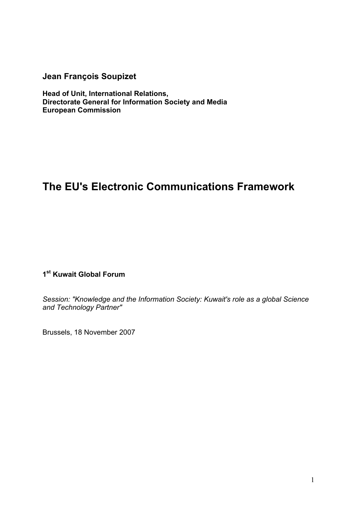**Jean François Soupizet**

**Head of Unit, International Relations, Directorate General for Information Society and Media European Commission**

# **The EU's Electronic Communications Framework**

**1st Kuwait Global Forum** 

*Session: "Knowledge and the Information Society: Kuwait's role as a global Science and Technology Partner"*

Brussels, 18 November 2007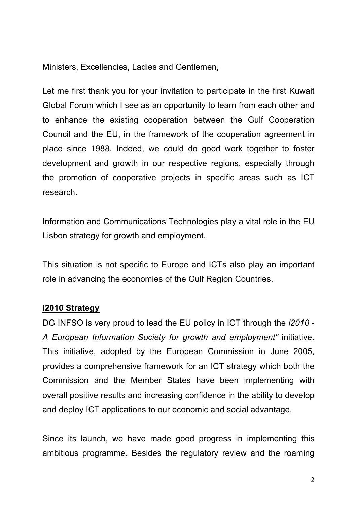Ministers, Excellencies, Ladies and Gentlemen,

Let me first thank you for your invitation to participate in the first Kuwait Global Forum which I see as an opportunity to learn from each other and to enhance the existing cooperation between the Gulf Cooperation Council and the EU, in the framework of the cooperation agreement in place since 1988. Indeed, we could do good work together to foster development and growth in our respective regions, especially through the promotion of cooperative projects in specific areas such as ICT research.

Information and Communications Technologies play a vital role in the EU Lisbon strategy for growth and employment.

This situation is not specific to Europe and ICTs also play an important role in advancing the economies of the Gulf Region Countries.

## **I2010 Strategy**

DG INFSO is very proud to lead the EU policy in ICT through the *i2010 - A European Information Society for growth and employment"* initiative. This initiative, adopted by the European Commission in June 2005, provides a comprehensive framework for an ICT strategy which both the Commission and the Member States have been implementing with overall positive results and increasing confidence in the ability to develop and deploy ICT applications to our economic and social advantage.

Since its launch, we have made good progress in implementing this ambitious programme. Besides the regulatory review and the roaming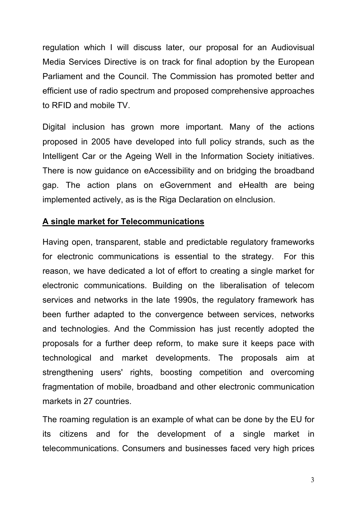regulation which I will discuss later, our proposal for an Audiovisual Media Services Directive is on track for final adoption by the European Parliament and the Council. The Commission has promoted better and efficient use of radio spectrum and proposed comprehensive approaches to RFID and mobile TV.

Digital inclusion has grown more important. Many of the actions proposed in 2005 have developed into full policy strands, such as the Intelligent Car or the Ageing Well in the Information Society initiatives. There is now guidance on eAccessibility and on bridging the broadband gap. The action plans on eGovernment and eHealth are being implemented actively, as is the Riga Declaration on eInclusion.

### **A single market for Telecommunications**

Having open, transparent, stable and predictable regulatory frameworks for electronic communications is essential to the strategy. For this reason, we have dedicated a lot of effort to creating a single market for electronic communications. Building on the liberalisation of telecom services and networks in the late 1990s, the regulatory framework has been further adapted to the convergence between services, networks and technologies. And the Commission has just recently adopted the proposals for a further deep reform, to make sure it keeps pace with technological and market developments. The proposals aim at strengthening users' rights, boosting competition and overcoming fragmentation of mobile, broadband and other electronic communication markets in 27 countries.

The roaming regulation is an example of what can be done by the EU for its citizens and for the development of a single market in telecommunications. Consumers and businesses faced very high prices

3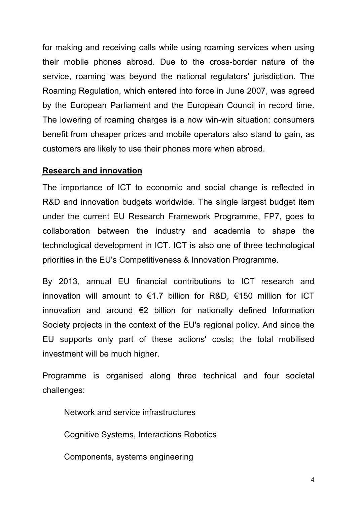for making and receiving calls while using roaming services when using their mobile phones abroad. Due to the cross-border nature of the service, roaming was beyond the national regulators' jurisdiction. The Roaming Regulation, which entered into force in June 2007, was agreed by the European Parliament and the European Council in record time. The lowering of roaming charges is a now win-win situation: consumers benefit from cheaper prices and mobile operators also stand to gain, as customers are likely to use their phones more when abroad.

### **Research and innovation**

The importance of ICT to economic and social change is reflected in R&D and innovation budgets worldwide. The single largest budget item under the current EU Research Framework Programme, FP7, goes to collaboration between the industry and academia to shape the technological development in ICT. ICT is also one of three technological priorities in the EU's Competitiveness & Innovation Programme.

By 2013, annual EU financial contributions to ICT research and innovation will amount to  $\epsilon$ 1.7 billion for R&D,  $\epsilon$ 150 million for ICT innovation and around  $\epsilon$ 2 billion for nationally defined Information Society projects in the context of the EU's regional policy. And since the EU supports only part of these actions' costs; the total mobilised investment will be much higher.

Programme is organised along three technical and four societal challenges:

Network and service infrastructures

Cognitive Systems, Interactions Robotics

Components, systems engineering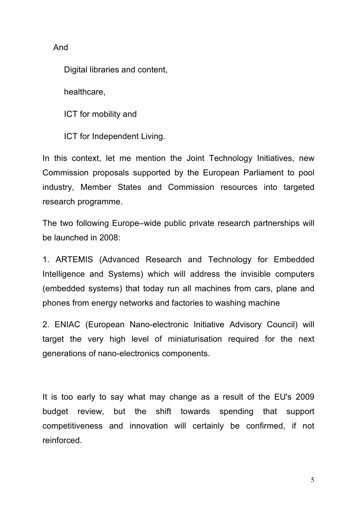And

Digital libraries and content,

healthcare,

ICT for mobility and

ICT for Independent Living.

In this context, let me mention the Joint Technology Initiatives, new Commission proposals supported by the European Parliament to pool industry, Member States and Commission resources into targeted research programme.

The two following Europe–wide public private research partnerships will be launched in 2008:

1. ARTEMIS (Advanced Research and Technology for Embedded Intelligence and Systems) which will address the invisible computers (embedded systems) that today run all machines from cars, plane and phones from energy networks and factories to washing machine

2. ENIAC (European Nano-electronic Initiative Advisory Council) will target the very high level of miniaturisation required for the next generations of nano-electronics components.

It is too early to say what may change as a result of the EU's 2009 budget review, but the shift towards spending that support competitiveness and innovation will certainly be confirmed, if not reinforced.

5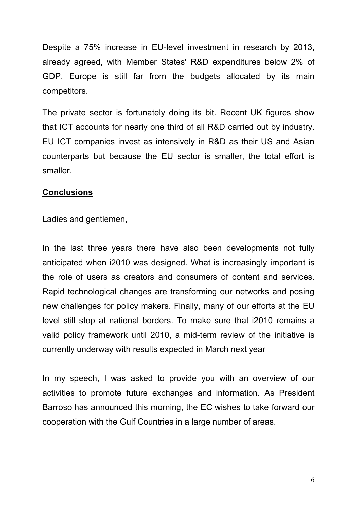Despite a 75% increase in EU-level investment in research by 2013, already agreed, with Member States' R&D expenditures below 2% of GDP, Europe is still far from the budgets allocated by its main competitors.

The private sector is fortunately doing its bit. Recent UK figures show that ICT accounts for nearly one third of all R&D carried out by industry. EU ICT companies invest as intensively in R&D as their US and Asian counterparts but because the EU sector is smaller, the total effort is smaller.

### **Conclusions**

Ladies and gentlemen,

In the last three years there have also been developments not fully anticipated when i2010 was designed. What is increasingly important is the role of users as creators and consumers of content and services. Rapid technological changes are transforming our networks and posing new challenges for policy makers. Finally, many of our efforts at the EU level still stop at national borders. To make sure that i2010 remains a valid policy framework until 2010, a mid-term review of the initiative is currently underway with results expected in March next year

In my speech, I was asked to provide you with an overview of our activities to promote future exchanges and information. As President Barroso has announced this morning, the EC wishes to take forward our cooperation with the Gulf Countries in a large number of areas.

6